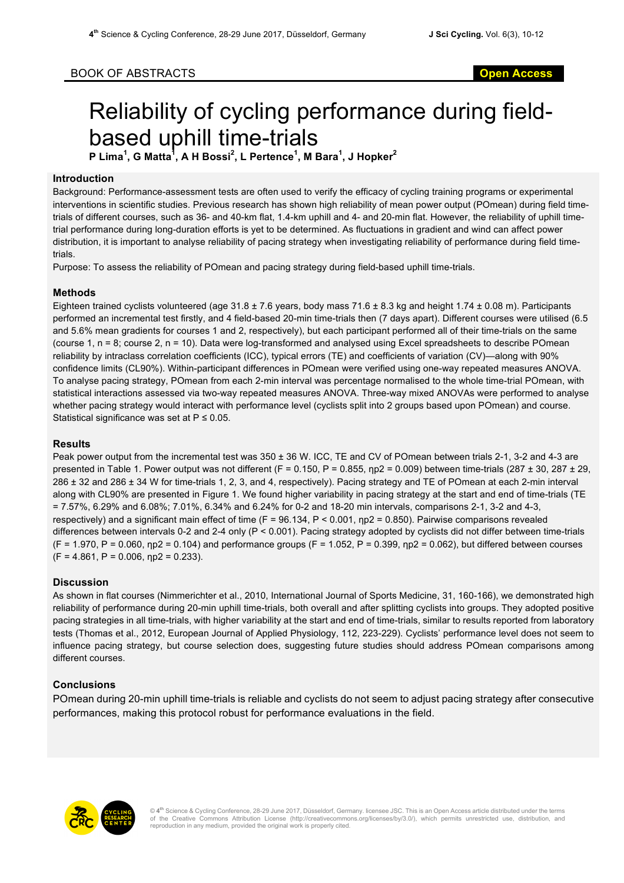# Reliability of cycling performance during fieldbased uphill time-trials

**P Lima<sup>1</sup> , G Matta<sup>1</sup> , A H Bossi<sup>2</sup> , L Pertence<sup>1</sup> , M Bara<sup>1</sup> , J Hopker<sup>2</sup>**

### **Introduction**

Background: Performance-assessment tests are often used to verify the efficacy of cycling training programs or experimental interventions in scientific studies. Previous research has shown high reliability of mean power output (POmean) during field timetrials of different courses, such as 36- and 40-km flat, 1.4-km uphill and 4- and 20-min flat. However, the reliability of uphill timetrial performance during long-duration efforts is yet to be determined. As fluctuations in gradient and wind can affect power distribution, it is important to analyse reliability of pacing strategy when investigating reliability of performance during field timetrials.

Purpose: To assess the reliability of POmean and pacing strategy during field-based uphill time-trials.

#### **Methods**

Eighteen trained cyclists volunteered (age 31.8 ± 7.6 years, body mass 71.6 ± 8.3 kg and height 1.74 ± 0.08 m). Participants performed an incremental test firstly, and 4 field-based 20-min time-trials then (7 days apart). Different courses were utilised (6.5 and 5.6% mean gradients for courses 1 and 2, respectively), but each participant performed all of their time-trials on the same (course 1, n = 8; course 2, n = 10). Data were log-transformed and analysed using Excel spreadsheets to describe POmean reliability by intraclass correlation coefficients (ICC), typical errors (TE) and coefficients of variation (CV)—along with 90% confidence limits (CL90%). Within-participant differences in POmean were verified using one-way repeated measures ANOVA. To analyse pacing strategy, POmean from each 2-min interval was percentage normalised to the whole time-trial POmean, with statistical interactions assessed via two-way repeated measures ANOVA. Three-way mixed ANOVAs were performed to analyse whether pacing strategy would interact with performance level (cyclists split into 2 groups based upon POmean) and course. Statistical significance was set at  $P \le 0.05$ .

### **Results**

Peak power output from the incremental test was 350 ± 36 W. ICC, TE and CV of POmean between trials 2-1, 3-2 and 4-3 are presented in Table 1. Power output was not different (F = 0.150, P = 0.855,  $np2 = 0.009$ ) between time-trials (287 ± 30, 287 ± 29, 286 ± 32 and 286 ± 34 W for time-trials 1, 2, 3, and 4, respectively). Pacing strategy and TE of POmean at each 2-min interval along with CL90% are presented in Figure 1. We found higher variability in pacing strategy at the start and end of time-trials (TE = 7.57%, 6.29% and 6.08%; 7.01%, 6.34% and 6.24% for 0-2 and 18-20 min intervals, comparisons 2-1, 3-2 and 4-3, respectively) and a significant main effect of time (F =  $96.134$ , P < 0.001,  $np2 = 0.850$ ). Pairwise comparisons revealed differences between intervals 0-2 and 2-4 only (P < 0.001). Pacing strategy adopted by cyclists did not differ between time-trials  $(F = 1.970, P = 0.060, \text{np2} = 0.104)$  and performance groups  $(F = 1.052, P = 0.399, \text{np2} = 0.062)$ , but differed between courses  $(F = 4.861, P = 0.006, \eta p2 = 0.233).$ 

## **Discussion**

As shown in flat courses (Nimmerichter et al., 2010, International Journal of Sports Medicine, 31, 160-166), we demonstrated high reliability of performance during 20-min uphill time-trials, both overall and after splitting cyclists into groups. They adopted positive pacing strategies in all time-trials, with higher variability at the start and end of time-trials, similar to results reported from laboratory tests (Thomas et al., 2012, European Journal of Applied Physiology, 112, 223-229). Cyclists' performance level does not seem to influence pacing strategy, but course selection does, suggesting future studies should address POmean comparisons among different courses.

#### **Conclusions**

POmean during 20-min uphill time-trials is reliable and cyclists do not seem to adjust pacing strategy after consecutive performances, making this protocol robust for performance evaluations in the field.

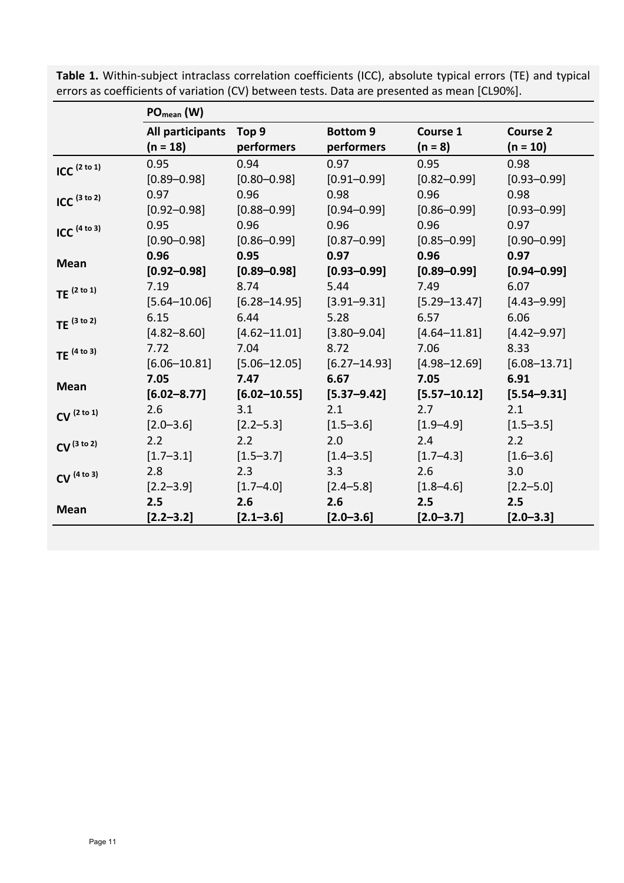|                           | $PO_{mean} (W)$  |                  |                  |                  |                  |
|---------------------------|------------------|------------------|------------------|------------------|------------------|
|                           | All participants | Top 9            | <b>Bottom 9</b>  | Course 1         | <b>Course 2</b>  |
|                           | $(n = 18)$       | performers       | performers       | $(n = 8)$        | $(n = 10)$       |
| ICC $(2 \text{ to } 1)$   | 0.95             | 0.94             | 0.97             | 0.95             | 0.98             |
|                           | $[0.89 - 0.98]$  | $[0.80 - 0.98]$  | $[0.91 - 0.99]$  | $[0.82 - 0.99]$  | $[0.93 - 0.99]$  |
| $ICC$ <sup>(3 to 2)</sup> | 0.97             | 0.96             | 0.98             | 0.96             | 0.98             |
|                           | $[0.92 - 0.98]$  | $[0.88 - 0.99]$  | $[0.94 - 0.99]$  | $[0.86 - 0.99]$  | $[0.93 - 0.99]$  |
| $ICC$ <sup>(4 to 3)</sup> | 0.95             | 0.96             | 0.96             | 0.96             | 0.97             |
|                           | $[0.90 - 0.98]$  | $[0.86 - 0.99]$  | $[0.87 - 0.99]$  | $[0.85 - 0.99]$  | $[0.90 - 0.99]$  |
| <b>Mean</b>               | 0.96             | 0.95             | 0.97             | 0.96             | 0.97             |
|                           | $[0.92 - 0.98]$  | $[0.89 - 0.98]$  | $[0.93 - 0.99]$  | $[0.89 - 0.99]$  | $[0.94 - 0.99]$  |
| TE $(2 \text{ to } 1)$    | 7.19             | 8.74             | 5.44             | 7.49             | 6.07             |
|                           | $[5.64 - 10.06]$ | $[6.28 - 14.95]$ | $[3.91 - 9.31]$  | $[5.29 - 13.47]$ | $[4.43 - 9.99]$  |
| TE $(3 to 2)$             | 6.15             | 6.44             | 5.28             | 6.57             | 6.06             |
|                           | $[4.82 - 8.60]$  | $[4.62 - 11.01]$ | $[3.80 - 9.04]$  | $[4.64 - 11.81]$ | $[4.42 - 9.97]$  |
| TE $(4 to 3)$             | 7.72             | 7.04             | 8.72             | 7.06             | 8.33             |
|                           | $[6.06 - 10.81]$ | $[5.06 - 12.05]$ | $[6.27 - 14.93]$ | $[4.98 - 12.69]$ | $[6.08 - 13.71]$ |
| <b>Mean</b>               | 7.05             | 7.47             | 6.67             | 7.05             | 6.91             |
|                           | $[6.02 - 8.77]$  | $[6.02 - 10.55]$ | $[5.37 - 9.42]$  | $[5.57 - 10.12]$ | $[5.54 - 9.31]$  |
| CV <sup>(2 to 1)</sup>    | 2.6              | 3.1              | 2.1              | 2.7              | 2.1              |
|                           | $[2.0 - 3.6]$    | $[2.2 - 5.3]$    | $[1.5 - 3.6]$    | $[1.9 - 4.9]$    | $[1.5 - 3.5]$    |
| CV <sup>(3 to 2)</sup>    | 2.2              | 2.2              | 2.0              | 2.4              | 2.2              |
|                           | $[1.7 - 3.1]$    | $[1.5 - 3.7]$    | $[1.4 - 3.5]$    | $[1.7 - 4.3]$    | $[1.6 - 3.6]$    |
| CV <sup>(4 to 3)</sup>    | 2.8              | 2.3              | 3.3              | 2.6              | 3.0              |
|                           | $[2.2 - 3.9]$    | $[1.7 - 4.0]$    | $[2.4 - 5.8]$    | $[1.8 - 4.6]$    | $[2.2 - 5.0]$    |
| <b>Mean</b>               | 2.5              | 2.6              | 2.6              | 2.5              | 2.5              |
|                           | $[2.2 - 3.2]$    | $[2.1 - 3.6]$    | $[2.0 - 3.6]$    | $[2.0 - 3.7]$    | $[2.0 - 3.3]$    |

Table 1. Within-subject intraclass correlation coefficients (ICC), absolute typical errors (TE) and typical errors as coefficients of variation (CV) between tests. Data are presented as mean [CL90%].